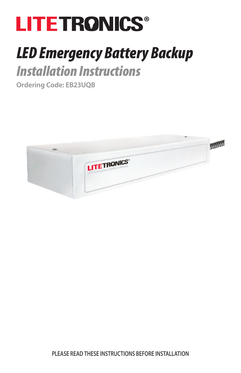

# *LED Emergency Battery Backup*

## *Installation Instructions*

**Ordering Code: EB23UQB**

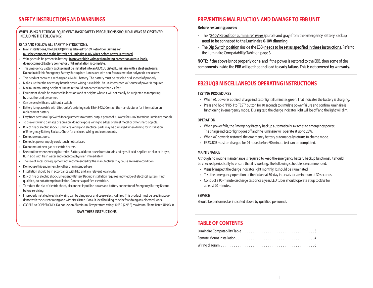#### **WHEN USING ELECTRICAL EQUIPMENT, BASIC SAFETY PRECAUTIONS SHOULD ALWAYS BE OBSERVED INCLUDING THE FOLLOWING:**

#### **READ AND FOLLOW ALL SAFETY INSTRUCTIONS.**

- **• In all installations, the EB23UQB wires labeled "0-10V Retrofit or Luminaire" must be connected to the Retrofit or Luminaire 0-10V wires before power is restored**.
- Voltage could be present in battery. **To prevent high voltage from being present on output leads, do not connect Battery connector until installation is complete.**
- This Emergency Battery Backup **must be installed into an UL/CUL Listed Luminaire with a steel enclosure**. Do not install this Emergency Battery Backup into luminaires with non-ferrous metal or polymeric enclosures.
- This product contains a rechargeable Ni-MH battery. The battery must be recycled or disposed of properly.
- Make sure that the necessary branch circuit wiring is available. An un-interrupted AC source of power is required.
- Maximum mounting height of luminaire should not exceed more than 23 feet.
- Equipment should be mounted in locations and at heights where it will not readily be subjected to tampering by unauthorized personnel.
- Can be used with and without a switch.
- Battery is replaceable with Litetronics's ordering code EBA45-12V. Contact the manufacturer for information on replacement battery.
- Easy front access to Dip Switch for adjustments to control output power of 23 watts for 0-10V to various Luminaire models
- To prevent wiring damage or abrasion, do not expose wiring to edges of sheet metal or other sharp objects.
- Risk of fire or electric shock. Luminaire wiring and electrical parts may be damaged when drilling for installation of Emergency Battery Backup. Check for enclosed wiring and components.
- Do not use outdoors.
- Do not let power supply cords touch hot surfaces.
- Do not mount near gas or electric heaters.
- Use caution when servicing batteries. Battery acid can cause burns to skin and eyes. If acid is spilled on skin or in eyes, flush acid with fresh water and contact a physician immediately.
- The use of accessory equipment not recommended by the manufacturer may cause an unsafe condition.
- Do not use this equipment for other than intended use.
- Installation should be in accordance with NEC and any relevant local codes.
- Risk of fire or electric shock. Emergency Battery Backup installation requires knowledge of electrical system. If not qualified, do not attempt installation. Contact a qualified electrician.
- To reduce the risk of electric shock, disconnect input line power and battery connector of Emergency Battery Backup before servicing.
- Improperly installed electrical wiring can be dangerous and cause electrical fires. This product must be used in accordance with the current rating and wire sizes listed. Consult local building code before doing any electrical work.
- COPPER to COPPER ONLY. Do not use on Aluminum. Temperature rating: 105° C (221° F) maximum. Flame Rated UL94V-0.

#### **SAVE THESE INSTRUCTIONS**

#### **SAFETY INSTRUCTIONS AND WARNINGS PREVENTING MALFUNCTION AND DAMAGE TO EBB UNIT**

#### **Before restoring power:**

- The "**0-10V Retrofit or Luminaire" wires** (purple and gray) from the Emergency Battery Backup **need to be conneced to the Luminaire 0-10V dimming**.
- The **Dip Switch position** (inside the EBB) **needs to be set as specified in these instructions**. Refer to the Luminaire Compatability Table on page 3.

#### **NOTE: If the above is not properly done**, and if the power is restored to the EBB, then some of the **components inside the EBB will get hot and lead to early failure. This is not covered by warranty.**

#### **EB23UQB MISCELLANEOUS OPERATING INSTRUCTIONS**

#### **TESTING PROCEDURES**

- When AC power is applied, charge indicator light illuminates green. That indicates the battery is charging.
- Press and hold "PUSH to TEST" button for 10 seconds to simulate power failure and confirm luminaire is functioning in emergency mode. During test, the charge indicator light will be off and the light will dim.

#### **OPERATION**

- When power fails, the Emergency Battery Backup automatically switches to emergency power. The charge indicator light goes off and the luminaire will operate at up to 23W.
- When AC power is restored, the emergency battery automatically returns to charge mode.
- EB23UQB must be charged for 24 hours before 90 minute test can be completed.

#### **MAINTENANCE**

Although no routine maintenance is required to keep the emergency battery backup functional, it should be checked periodically to ensure that it is working. The following schedule is recommended:

- Visually inspect the charge indicator light monthly. It should be illuminated.
- Test the emergency operation of the fixture at 30-day intervals for a minimum of 30 seconds.
- Conduct a 90-minute discharge test once a year. LED tubes should operate at up to 23W for at least 90 minutes.

#### **SERVICE**

Should be performed as indicated above by qualified personnel.

#### **TABLE OF CONTENTS**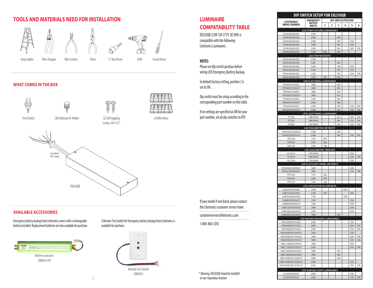#### **TOOLS AND MATERIALS NEED FOR INSTALLATION LUMINAIRE**





**Step Ladder Wire Stripper Wire Cutters Pliers 1/4" Nut Driver Drill Screw Driver**

**WHAT COMES IN THE BOX**















(Duning

**EB23UQB**

18" Long



**(2) Self-tapping screws, #8 x 1/2"**



## **COMPATABILITY TABLE**

EB23UQB (23W 120-277V QC WH) is compatible with the following Litetronics Luminaires.

#### **NOTES:**

Please set dip switch position before wiring LED Emergency Battery Backup.

In default factory setting, position 2 is set to ON.

Dip switch must be setup according to the corresponding part number on this table.

If no settings are specified as ON for your part number, set all dip switches to OFF.

If your model # not listed, please contact the Litetronics customer service team.

customerservice@litetronics.com

1-800-860-3392

| <b>LITETRONICS'</b>           | <b>EMERGENCY</b>                         | DIP SWITCH POSITION |   |    |    |          |    |  |
|-------------------------------|------------------------------------------|---------------------|---|----|----|----------|----|--|
| OUTPUT<br><b>MODEL NUMBER</b> | WATTS                                    | 1                   | 2 | 3  | 4  | 5        | 6  |  |
|                               | <b>LED STRIP FIXTURE LUMINAIRES</b>      |                     |   |    |    |          |    |  |
| SF24UQS4XXDL                  | 23W                                      |                     |   |    |    |          |    |  |
| SF30UQS4XXDL                  | <b>22W</b>                               |                     |   | ON |    |          |    |  |
| SF40UQS4XXDL                  | 22W                                      |                     |   | ON |    | ON       |    |  |
| SF40UQS8XXDL                  | 22W                                      |                     |   | ON |    | ON       |    |  |
| SF50UQS8XXDL                  | 22W                                      |                     |   | ON |    | ON       | ON |  |
| SF64UQS8XXDL                  | 22W                                      | ON                  |   | ON |    |          |    |  |
|                               | <b>LED STRIP RETROFIT</b>                |                     |   |    |    |          |    |  |
| SR24UQS4XXDL                  | 23W                                      |                     |   |    |    |          |    |  |
| SR30UQS4XXDL                  | 22W                                      |                     |   | ON |    |          |    |  |
| SR40UQS4XXDL                  | 22W                                      |                     |   | ON |    | ON       |    |  |
| SR40UQS8XXDL                  | <b>22W</b>                               |                     |   | ON |    | ON       |    |  |
| SR50UQS8XXDL                  | 22W                                      |                     |   | ON |    | ON       | ON |  |
| SR64UQS8XXDL                  | 22W                                      | ON                  |   | ON |    |          |    |  |
|                               | LED FLAT PANEL LUMINAIRES                |                     |   |    |    |          |    |  |
| FP030UF1XXDL                  | <b>18W</b>                               |                     |   | ON |    |          |    |  |
| FP030UF1XXDLP                 | <b>18W</b>                               |                     |   | ON |    |          |    |  |
| FP030UF2XXDL                  | <b>18W</b>                               |                     |   | ON |    |          |    |  |
| FP030UF2XXDLP                 | <b>18W</b>                               |                     |   | ON |    |          |    |  |
| FP040UF2XXDL                  | 23W                                      |                     |   | ON |    |          |    |  |
| FP040UF4XXDLP                 | 23W                                      |                     |   | ON |    |          |    |  |
| FP050UF4XXDL                  | 23W                                      |                     |   | ON |    | ON       | ON |  |
| FP050UF4XXDLP                 | 23W                                      |                     |   | ON |    | ON       | ON |  |
|                               | LED LIGHT PANEL LUMINAIRES               |                     |   |    |    |          |    |  |
| PT1XX                         | 19W MAX                                  |                     |   | ON |    | ON       | ON |  |
| PT2XX                         | 19W MAX                                  |                     |   | ON |    | ON       | ON |  |
| PT4XX                         | 23W MAX                                  |                     |   | ON |    | ON       | ON |  |
|                               | LED VOLUMETRIC RETROFIT                  |                     |   |    |    |          |    |  |
| VR29UQT2XXDLP                 | 23W                                      |                     |   | ON |    |          |    |  |
| VR39UQT4XXDLP                 | 23W                                      |                     |   | ON |    | ON       | ON |  |
| VRT2XX                        | 17W                                      | ON                  |   |    |    |          |    |  |
| VRT4XX                        | 23W                                      | ON                  |   |    |    |          |    |  |
| VRT1XX                        | 17W                                      | ON                  |   |    |    |          |    |  |
|                               | LED VOLUMETRIC TROFFER                   |                     |   |    |    |          |    |  |
| VLT2XX                        | 17W MAX                                  |                     |   |    |    | ON       |    |  |
| VLT4XX                        | 18W MAX                                  |                     |   |    |    | ON       | ON |  |
| VLT1XX                        | 17W MAX<br>LED FLAT/LIGHT PANEL RETROFIT |                     |   |    |    | ON       |    |  |
|                               |                                          |                     |   |    |    |          |    |  |
| RP29UQT2XXDLP                 | <b>18W</b><br><b>18W</b>                 |                     |   |    |    | ON<br>ON | ON |  |
| RP39UQT4XXDLP<br>PRT2XX       | 17W                                      | ON                  |   |    |    |          |    |  |
| PRT4XX                        | 23W                                      | ON                  |   |    |    |          |    |  |
| PRT1XX                        | 17W                                      | ON                  |   |    |    |          |    |  |
|                               | LED LINEAR HIGH & LOW BAYS               |                     |   |    |    |          |    |  |
| LLB075UK2XXDL                 | 23W                                      |                     |   |    | ON |          |    |  |
| LHB110UK2XXDL                 | 23W                                      | ON                  |   |    |    | ON       |    |  |
| LHB185UM2XXDL                 | 17W                                      |                     |   |    | ON |          |    |  |
| LLB60UR2XXDLP                 | 11W                                      |                     |   |    |    | ON       |    |  |
| LHB88UR2XXDLP                 | 15W                                      |                     |   |    |    | ON       |    |  |
| LHB112UR2XXDLP                | <b>18W</b>                               |                     |   |    |    | ON       |    |  |
| LHB148US2XXDLP                | 22W                                      |                     |   |    |    | ON       |    |  |
| LHB248UV2XXDLP                | <b>18W</b>                               |                     |   | ON |    |          |    |  |
|                               | LED ROUND HIGH BAY LUMINAIRES            |                     |   |    |    |          |    |  |
| HB125[B,W]YXXDL               | 23W                                      |                     |   |    |    | ON       |    |  |
| HB185[B,W]YXXDL               | 20W                                      |                     |   |    |    | ON       | ON |  |
| HB220[B,W]YXXDL               | 23W                                      |                     |   |    |    | ON       | ON |  |
| HB100[B,W]YXXDLP              | <b>15W</b>                               |                     |   |    |    | ON       |    |  |
| HB150[B,W]YXXDLP              | <b>16W</b>                               |                     |   |    |    | ON       | ON |  |
| HB200[B,W]YXXDLP              | <b>18W</b>                               |                     |   |    |    | ON       | ON |  |
| HBC115[B,W]XXDLP              | 16W                                      |                     |   |    |    | ON       |    |  |
| HBC175[B,W]XXDLP              | 22W                                      |                     |   |    |    | ON       | ON |  |
| HBC220[B,W]XXDLP              | <b>16W</b>                               |                     |   | ON |    |          |    |  |
| HBC240[B,W]XXDLP              | <b>18W</b>                               |                     |   | ON |    |          |    |  |
| HBF100[B,W]7XXDLP             | 20W                                      |                     |   | ON |    |          |    |  |
| HBE150[B,W]YXXDLP*            | 22W                                      |                     |   |    |    | ON       |    |  |
| HBE200[B,W]YXXDLP*            | 22W                                      |                     |   |    |    | ON       | ON |  |
|                               | LED GARAGE LIGHT LUMINAIRES              |                     |   |    |    |          |    |  |
| GL39URXXDLP                   | 20W                                      |                     |   |    |    | ON       |    |  |
| GL59URXXDLP                   | 22W                                      |                     |   |    |    | ON       | ON |  |

**DIP SWITCH SETUP FOR EB23UQB**

2 3 *in non-hazardous location* \* *Warning: EB23UQB should be installed* 

**AVAILABLE ACCESSORIES**

Emergency battery backup from Litetronics comes with a rechargeable battery installed. Replacement batteries are also available for purchase.



A Remote Test Switch for Emergency battery backup from Litetronics is available for purchase.

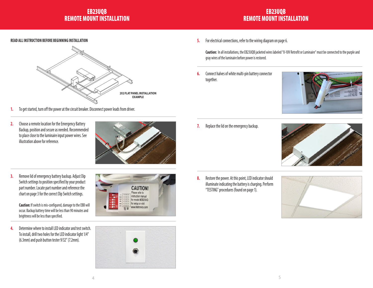### EB23UQB REMOTE MOUNT INSTALLATION

### EB23UQB REMOTE MOUNT INSTALLATION

**READ ALL INSTRUCTION BEFORE BEGINNING INSTALLATION**



- **1.** To get started, turn off the power at the circuit breaker. Disconnect power leads from driver.
- **2.** Choose a remote location for the Emergency Battery Backup, position and secure as needed. Recommended to place close to the luminaire input power wires. See illustration above for reference.



**3.** Remove lid of emergency battery backup. Adjust Dip Switch settings to position specified by your product part number. Locate part number and reference the chart on page 3 for the correct Dip Switch settings.

> **Caution:** If switch is mis-configured, damage to the EBB will occur. Backup battery time will be less than 90 minutes and brightness will be less than specified.

**4.** Determine where to install LED indicator and test switch. To install, drill two holes for the LED indicator light 1/4" (6.3mm) and push button tester 9/32" (7.2mm).





**5.** For electrical connections, refer to the wiring diagram on page 6.

**Caution:** In all installations, the EB23UQB jacketed wires labeled "0-10V Retrofit or Luminaire" must be connected to the purple and gray wires of the luminaire before power is restored.

**6.** Connect halves of white multi-pin battery connector together.



**7.** Replace the lid on the emergency backup.



**8.** Restore the power. At this point, LED indicator should illuminate indicating the battery is charging. Perform "TESTING" procedures (found on page 1).

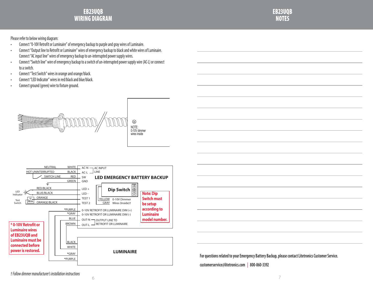#### EB23UQB WIRING DIAGRAM

EB23UQB NOTES

Please refer to below wiring diagram:

- Connect "0-10V Retrofit or Luminaire" of emergency backup to purple and gray wires of Luminaire.
- Connect "Output line to Retrofit or Luminaire" wires of emergency backup to black and white wires of Luminaire. Connect "AC input line" wires of emergency backup to un-interrupted power supply wires.
- Connect "Switch line" wire of emergency backup to a switch of un-interrupted power supply wire (AC-L) or connect to a switch.
- Connect "Test Switch" wires in orange and orange/black.
- Connect "LED Indicator" wires in red/black and blue/black.
- Connect ground (green) wire to fixture ground.







**For questions related to your Emergency Battery Backup, please contact Litetronics Customer Service. customerservice@litetronics.com | 800-860-3392**

*† Follow dimmer manufacturer's installation instructions*

 $6$